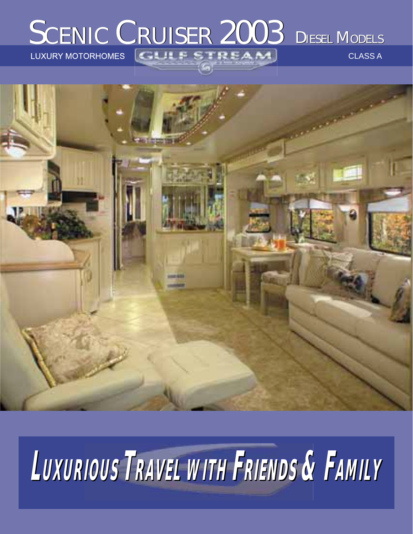# SCENIC CRUISER 2003 DIESEL MODELS

CLASS A



# **LUXURIOUS UXURIOUS TRAVEL WITH FRIENDS & FAMILY**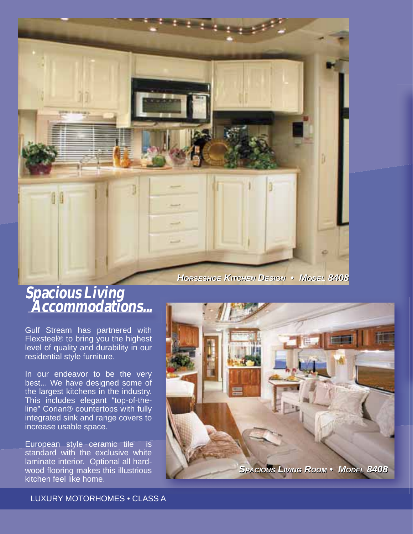*HORSESHOE ORSESHOE KITCHEN ITCHEN DESIGN ESIGN • MODEL ODEL 8408* 

#### **Spacious Living Accommodations...**

Gulf Stream has partnered with Flexsteel® to bring you the highest level of quality and durability in our residential style furniture.

In our endeavor to be the very best... We have designed some of the largest kitchens in the industry. This includes elegant "top-of-theline" Corian® countertops with fully integrated sink and range covers to increase usable space.

European style ceramic tile is standard with the exclusive white laminate interior. Optional all hardwood flooring makes this illustrious kitchen feel like home.



LUXURY MOTORHOMES • CLASS A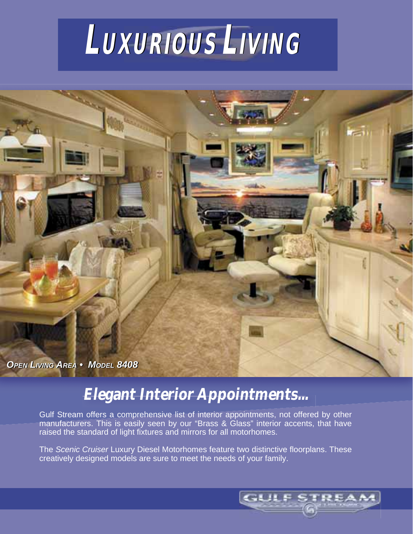



### **Elegant Interior Appointments...**

Gulf Stream offers a comprehensive list of interior appointments, not offered by other manufacturers. This is easily seen by our "Brass & Glass" interior accents, that have raised the standard of light fixtures and mirrors for all motorhomes.

The *Scenic Cruiser* Luxury Diesel Motorhomes feature two distinctive floorplans. These creatively designed models are sure to meet the needs of your family.

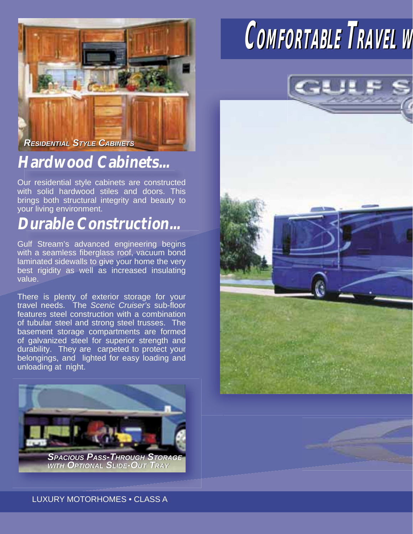

#### **Hardwood Cabinets...**

Our residential style cabinets are constructed with solid hardwood stiles and doors. This brings both structural integrity and beauty to your living environment.

#### **Durable Construction...**

Gulf Stream's advanced engineering begins with a seamless fiberglass roof, vacuum bond laminated sidewalls to give your home the very best rigidity as well as increased insulating value.

There is plenty of exterior storage for your travel needs. The *Scenic Cruiser's* sub-floor features steel construction with a combination of tubular steel and strong steel trusses. The basement storage compartments are formed of galvanized steel for superior strength and durability. They are carpeted to protect your belongings, and lighted for easy loading and unloading at night.



*WITH OPTIONAL SLIDE-OUT TRAY* **OPTIONAL SLIDE-OUT** 

## **COMFORTABLE** TRAVEL **M**



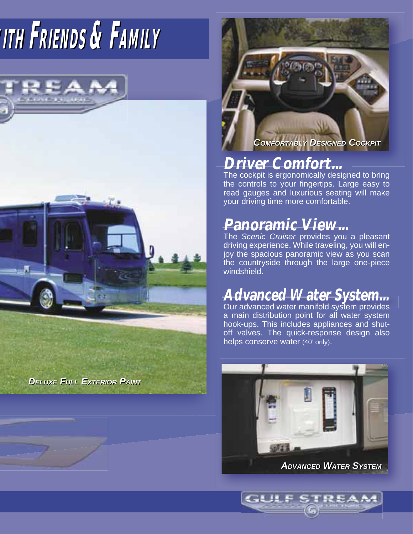# **WWITHITH FRIENDS RIENDS & FAMILY AMILY**



*DELUXE* FULL EXTERIOR PAINT



#### **Driver Comfort...**

The cockpit is ergonomically designed to bring the controls to your fingertips. Large easy to read gauges and luxurious seating will make your driving time more comfortable.

### **Panoramic View...**

The *Scenic Cruiser* provides you a pleasant driving experience. While traveling, you will enjoy the spacious panoramic view as you scan the countryside through the large one-piece windshield.

## **Advanced Water System...**

Our advanced water manifold system provides a main distribution point for all water system hook-ups. This includes appliances and shutoff valves. The quick-response design also helps conserve water (40' only).



**GLILE ST** 

*AADVANCED DVANCED W WATER ATER S SYSTEM YSTEM*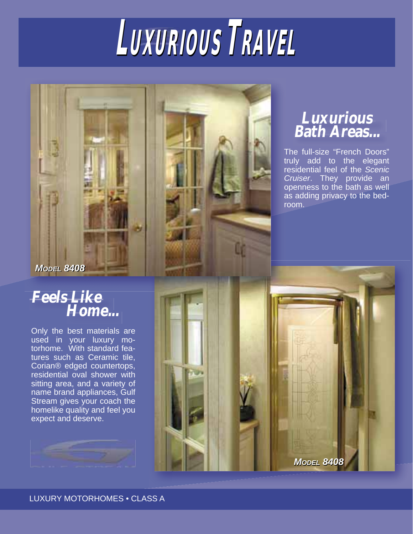# $L$ *UXURIOUS* TRAVEL

#### **Luxurious Bath Areas...**

The full-size "French Doors" truly add to the elegant residential feel of the *Scenic Cruiser*. They provide an openness to the bath as well as adding privacy to the bedroom.

**MODEL 8408** 

*MODEL 8408* 

#### **Feels Like Home...**

Only the best materials are used in your luxury motorhome. With standard features such as Ceramic tile, Corian® edged countertops, residential oval shower with sitting area, and a variety of name brand appliances, Gulf Stream gives your coach the homelike quality and feel you expect and deserve.



LUXURY MOTORHOMES • CLASS A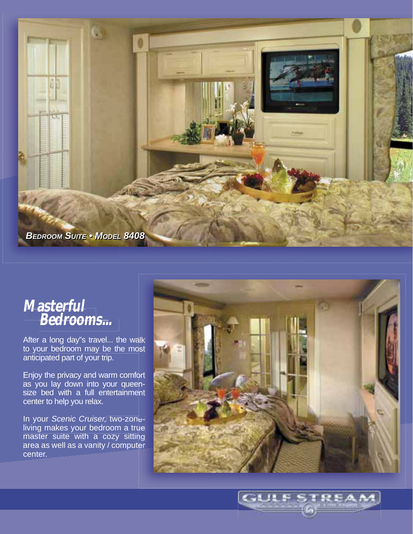

#### **Masterful Bedrooms...**

After a long day"s travel... the walk to your bedroom may be the mo anticipated part of your trip.

Enjoy the privacy and warm comfo as you lay down into your queensize bed with a full entertainment center to help you relax.

In your *Scenic Cruiser,* two-zone living makes your bedroom a tru master suite with a cozy sittin area as well as a vanity / compute center.



**GULF STREAM**